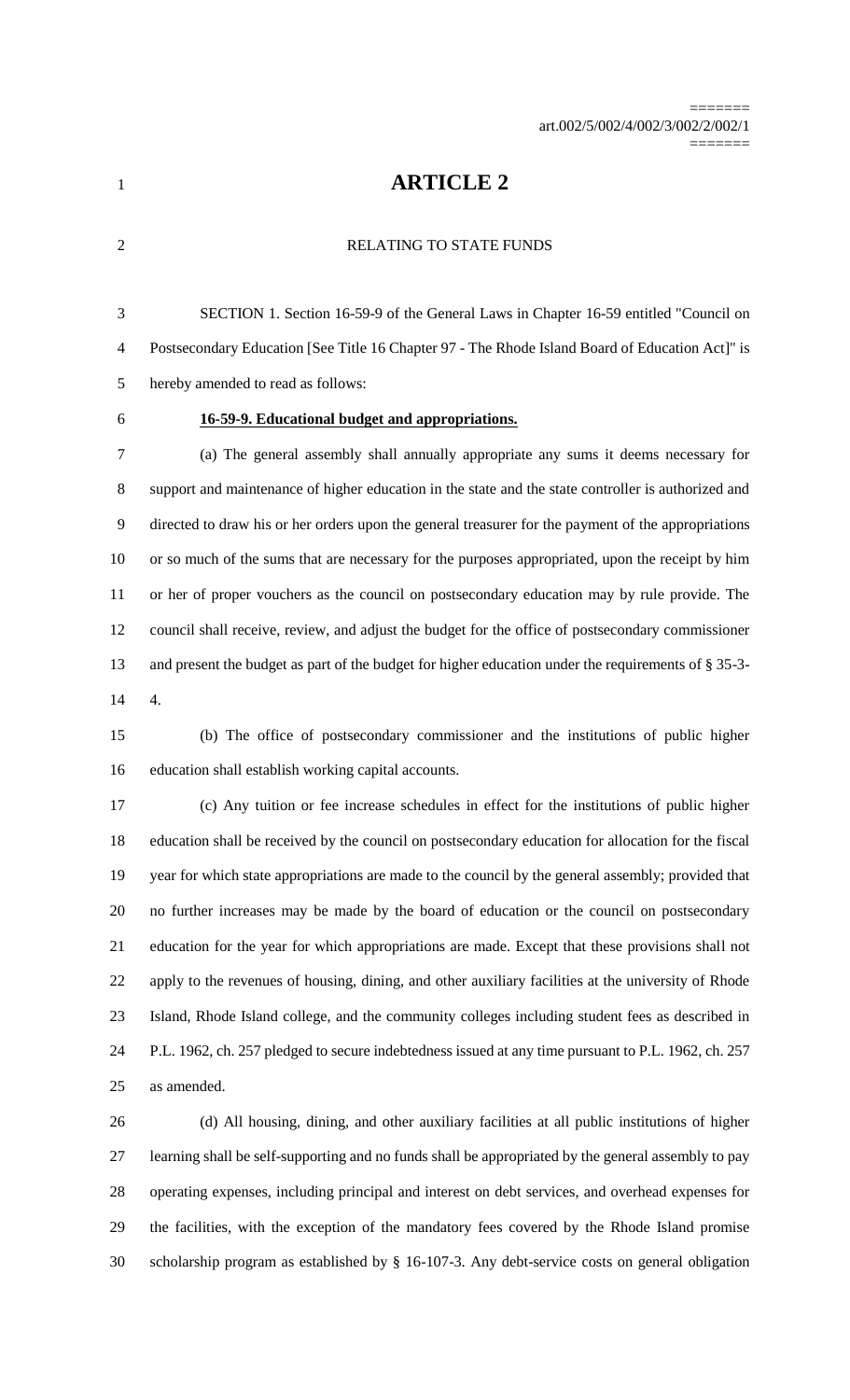**ARTICLE 2**

### RELATING TO STATE FUNDS

 SECTION 1. Section 16-59-9 of the General Laws in Chapter 16-59 entitled "Council on Postsecondary Education [See Title 16 Chapter 97 - The Rhode Island Board of Education Act]" is hereby amended to read as follows:

# **16-59-9. Educational budget and appropriations.**

 (a) The general assembly shall annually appropriate any sums it deems necessary for support and maintenance of higher education in the state and the state controller is authorized and directed to draw his or her orders upon the general treasurer for the payment of the appropriations or so much of the sums that are necessary for the purposes appropriated, upon the receipt by him or her of proper vouchers as the council on postsecondary education may by rule provide. The council shall receive, review, and adjust the budget for the office of postsecondary commissioner and present the budget as part of the budget for higher education under the requirements of § 35-3- 4.

 (b) The office of postsecondary commissioner and the institutions of public higher education shall establish working capital accounts.

 (c) Any tuition or fee increase schedules in effect for the institutions of public higher education shall be received by the council on postsecondary education for allocation for the fiscal year for which state appropriations are made to the council by the general assembly; provided that no further increases may be made by the board of education or the council on postsecondary education for the year for which appropriations are made. Except that these provisions shall not apply to the revenues of housing, dining, and other auxiliary facilities at the university of Rhode Island, Rhode Island college, and the community colleges including student fees as described in P.L. 1962, ch. 257 pledged to secure indebtedness issued at any time pursuant to P.L. 1962, ch. 257 as amended.

 (d) All housing, dining, and other auxiliary facilities at all public institutions of higher learning shall be self-supporting and no funds shall be appropriated by the general assembly to pay operating expenses, including principal and interest on debt services, and overhead expenses for the facilities, with the exception of the mandatory fees covered by the Rhode Island promise scholarship program as established by § 16-107-3. Any debt-service costs on general obligation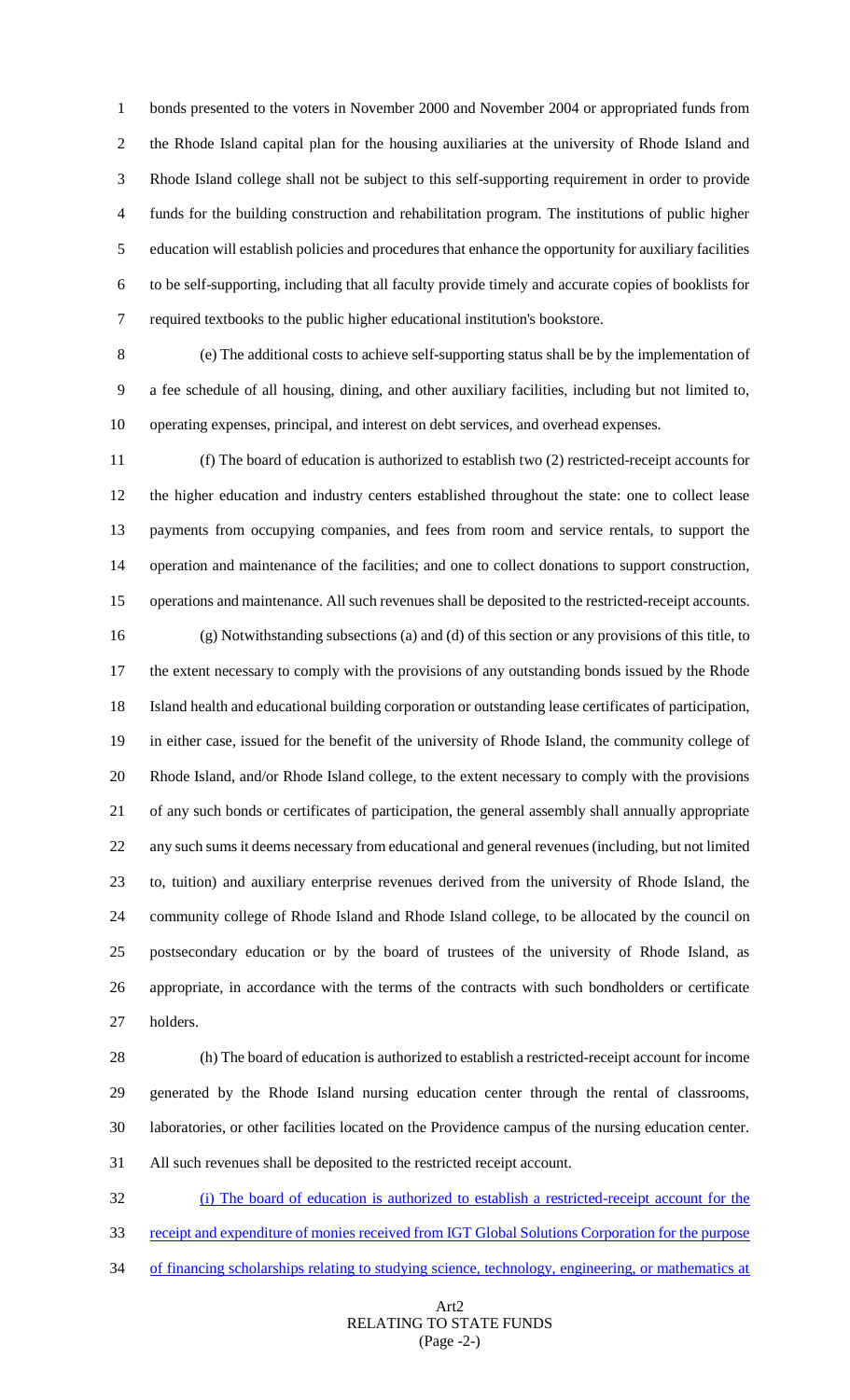bonds presented to the voters in November 2000 and November 2004 or appropriated funds from the Rhode Island capital plan for the housing auxiliaries at the university of Rhode Island and Rhode Island college shall not be subject to this self-supporting requirement in order to provide funds for the building construction and rehabilitation program. The institutions of public higher education will establish policies and procedures that enhance the opportunity for auxiliary facilities to be self-supporting, including that all faculty provide timely and accurate copies of booklists for required textbooks to the public higher educational institution's bookstore.

 (e) The additional costs to achieve self-supporting status shall be by the implementation of a fee schedule of all housing, dining, and other auxiliary facilities, including but not limited to, operating expenses, principal, and interest on debt services, and overhead expenses.

 (f) The board of education is authorized to establish two (2) restricted-receipt accounts for the higher education and industry centers established throughout the state: one to collect lease payments from occupying companies, and fees from room and service rentals, to support the operation and maintenance of the facilities; and one to collect donations to support construction, operations and maintenance. All such revenues shall be deposited to the restricted-receipt accounts. (g) Notwithstanding subsections (a) and (d) of this section or any provisions of this title, to 17 the extent necessary to comply with the provisions of any outstanding bonds issued by the Rhode Island health and educational building corporation or outstanding lease certificates of participation, in either case, issued for the benefit of the university of Rhode Island, the community college of Rhode Island, and/or Rhode Island college, to the extent necessary to comply with the provisions of any such bonds or certificates of participation, the general assembly shall annually appropriate any such sums it deems necessary from educational and general revenues (including, but not limited to, tuition) and auxiliary enterprise revenues derived from the university of Rhode Island, the community college of Rhode Island and Rhode Island college, to be allocated by the council on postsecondary education or by the board of trustees of the university of Rhode Island, as appropriate, in accordance with the terms of the contracts with such bondholders or certificate holders.

 (h) The board of education is authorized to establish a restricted-receipt account for income generated by the Rhode Island nursing education center through the rental of classrooms, laboratories, or other facilities located on the Providence campus of the nursing education center. All such revenues shall be deposited to the restricted receipt account.

 (i) The board of education is authorized to establish a restricted-receipt account for the receipt and expenditure of monies received from IGT Global Solutions Corporation for the purpose 34 of financing scholarships relating to studying science, technology, engineering, or mathematics at

### Art2 RELATING TO STATE FUNDS (Page -2-)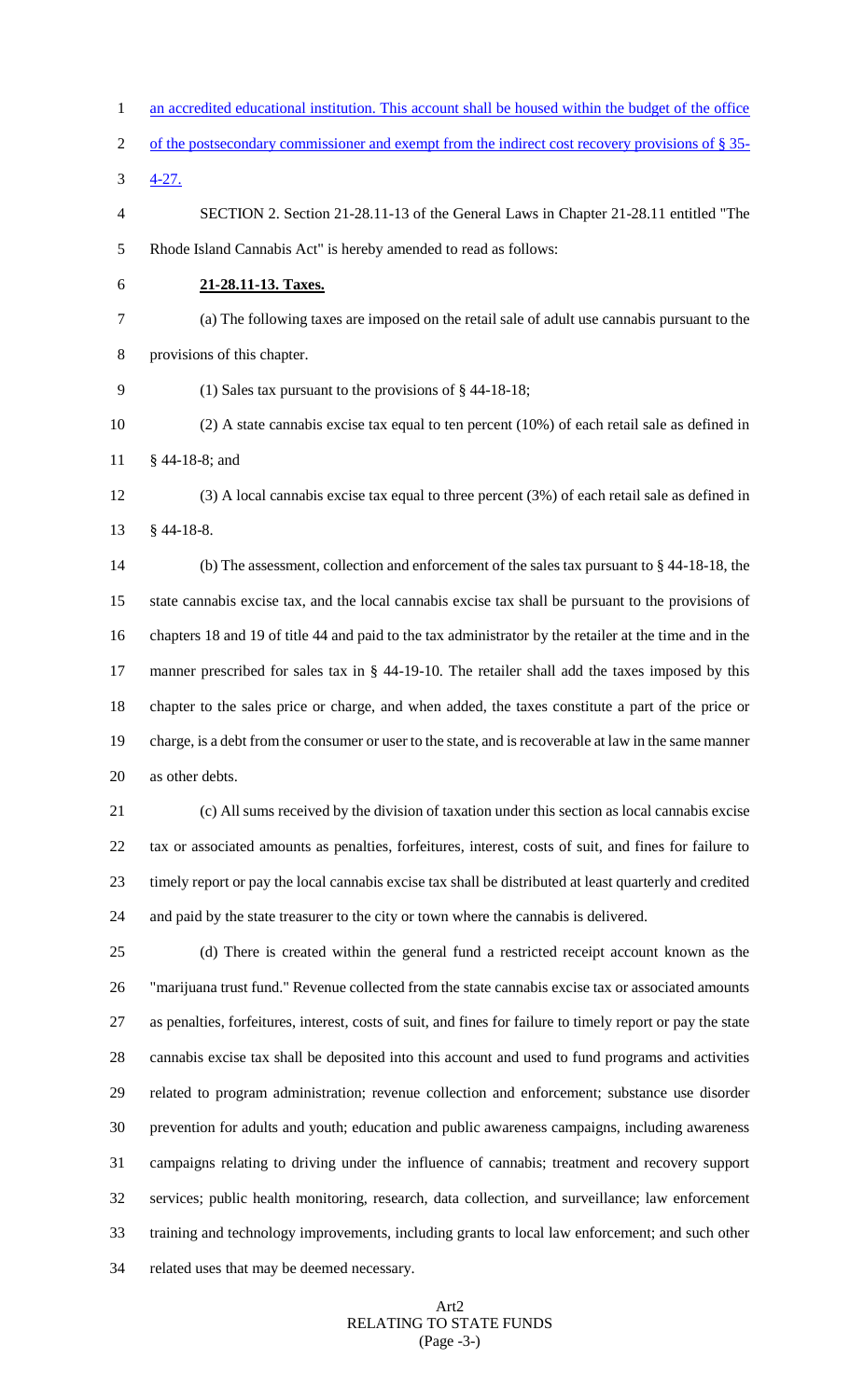| $\mathbf{1}$ | an accredited educational institution. This account shall be housed within the budget of the office         |
|--------------|-------------------------------------------------------------------------------------------------------------|
| 2            | of the postsecondary commissioner and exempt from the indirect cost recovery provisions of § 35-            |
| 3            | $4 - 27.$                                                                                                   |
| 4            | SECTION 2. Section 21-28.11-13 of the General Laws in Chapter 21-28.11 entitled "The                        |
| 5            | Rhode Island Cannabis Act" is hereby amended to read as follows:                                            |
| 6            | 21-28.11-13. Taxes.                                                                                         |
| 7            | (a) The following taxes are imposed on the retail sale of adult use cannabis pursuant to the                |
| 8            | provisions of this chapter.                                                                                 |
| 9            | (1) Sales tax pursuant to the provisions of $\S$ 44-18-18;                                                  |
| 10           | $(2)$ A state cannabis excise tax equal to ten percent $(10%)$ of each retail sale as defined in            |
| 11           | $§$ 44-18-8; and                                                                                            |
| 12           | $(3)$ A local cannabis excise tax equal to three percent $(3%)$ of each retail sale as defined in           |
| 13           | $§$ 44-18-8.                                                                                                |
| 14           | (b) The assessment, collection and enforcement of the sales tax pursuant to $\S$ 44-18-18, the              |
| 15           | state cannabis excise tax, and the local cannabis excise tax shall be pursuant to the provisions of         |
| 16           | chapters 18 and 19 of title 44 and paid to the tax administrator by the retailer at the time and in the     |
| 17           | manner prescribed for sales tax in § 44-19-10. The retailer shall add the taxes imposed by this             |
| 18           | chapter to the sales price or charge, and when added, the taxes constitute a part of the price or           |
| 19           | charge, is a debt from the consumer or user to the state, and is recoverable at law in the same manner      |
| 20           | as other debts.                                                                                             |
| 21           | (c) All sums received by the division of taxation under this section as local cannabis excise               |
| 22           | tax or associated amounts as penalties, forfeitures, interest, costs of suit, and fines for failure to      |
| 23           | timely report or pay the local cannabis excise tax shall be distributed at least quarterly and credited     |
| 24           | and paid by the state treasurer to the city or town where the cannabis is delivered.                        |
| 25           | (d) There is created within the general fund a restricted receipt account known as the                      |
| 26           | "marijuana trust fund." Revenue collected from the state cannabis excise tax or associated amounts          |
| 27           | as penalties, forfeitures, interest, costs of suit, and fines for failure to timely report or pay the state |
| 28           | cannabis excise tax shall be deposited into this account and used to fund programs and activities           |
| 29           | related to program administration; revenue collection and enforcement; substance use disorder               |
| 30           | prevention for adults and youth; education and public awareness campaigns, including awareness              |
| 31           | campaigns relating to driving under the influence of cannabis; treatment and recovery support               |
| 32           | services; public health monitoring, research, data collection, and surveillance; law enforcement            |
| 33           | training and technology improvements, including grants to local law enforcement; and such other             |
| 34           | related uses that may be deemed necessary.                                                                  |

### Art2 RELATING TO STATE FUNDS (Page -3-)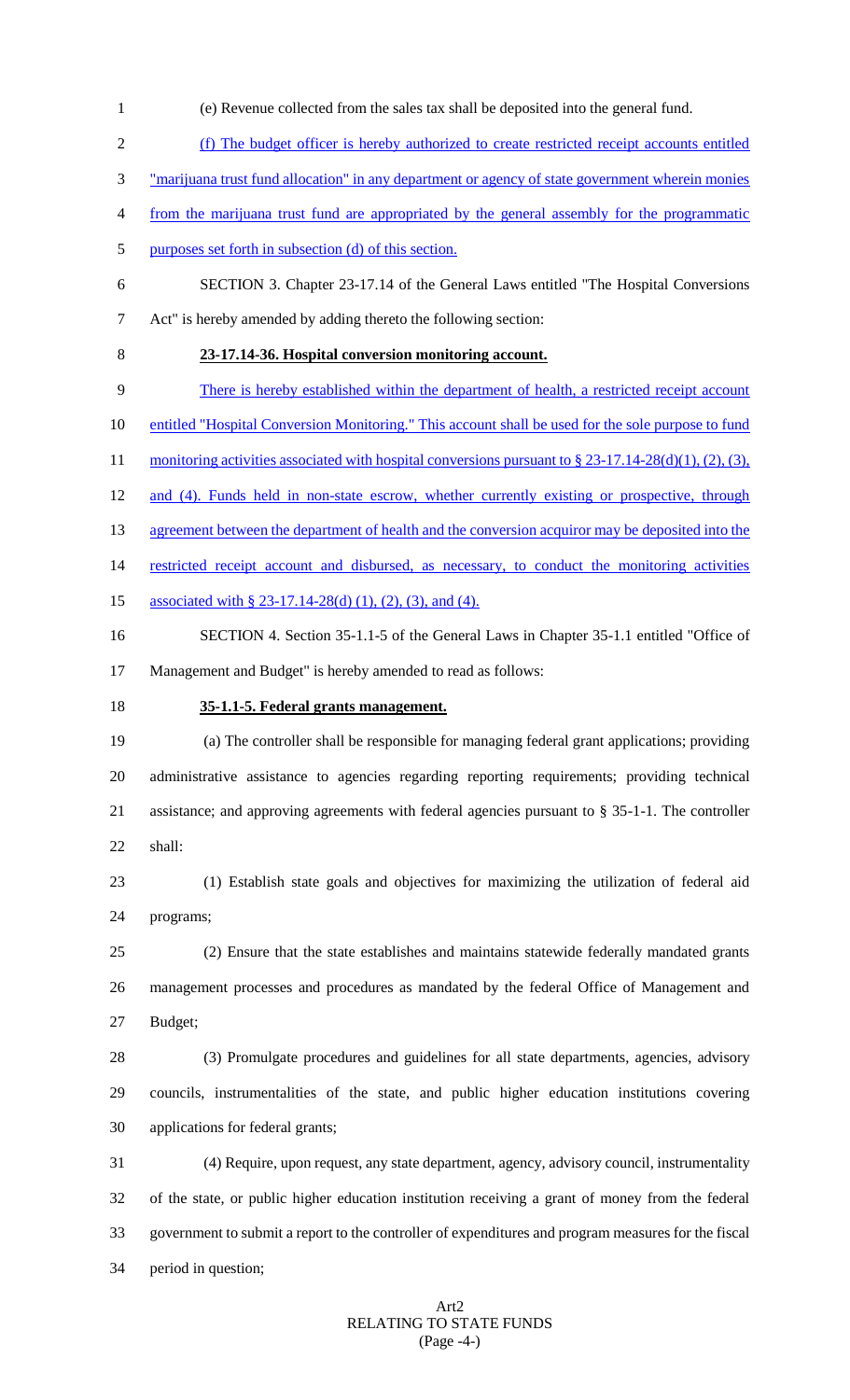- (e) Revenue collected from the sales tax shall be deposited into the general fund.
- (f) The budget officer is hereby authorized to create restricted receipt accounts entitled
- "marijuana trust fund allocation" in any department or agency of state government wherein monies
- from the marijuana trust fund are appropriated by the general assembly for the programmatic
- purposes set forth in subsection (d) of this section.
- SECTION 3. Chapter 23-17.14 of the General Laws entitled "The Hospital Conversions Act" is hereby amended by adding thereto the following section:
- 

# **23-17.14-36. Hospital conversion monitoring account.**

- There is hereby established within the department of health, a restricted receipt account
- 10 entitled "Hospital Conversion Monitoring." This account shall be used for the sole purpose to fund
- 11 monitoring activities associated with hospital conversions pursuant to § 23-17.14-28(d)(1), (2), (3),
- 12 and (4). Funds held in non-state escrow, whether currently existing or prospective, through
- 13 agreement between the department of health and the conversion acquiror may be deposited into the
- 14 restricted receipt account and disbursed, as necessary, to conduct the monitoring activities
- 15 associated with § 23-17.14-28(d) (1), (2), (3), and (4).
- SECTION 4. Section 35-1.1-5 of the General Laws in Chapter 35-1.1 entitled "Office of Management and Budget" is hereby amended to read as follows:
- 

### **35-1.1-5. Federal grants management.**

 (a) The controller shall be responsible for managing federal grant applications; providing administrative assistance to agencies regarding reporting requirements; providing technical assistance; and approving agreements with federal agencies pursuant to § 35-1-1. The controller shall:

 (1) Establish state goals and objectives for maximizing the utilization of federal aid programs;

 (2) Ensure that the state establishes and maintains statewide federally mandated grants management processes and procedures as mandated by the federal Office of Management and Budget;

 (3) Promulgate procedures and guidelines for all state departments, agencies, advisory councils, instrumentalities of the state, and public higher education institutions covering applications for federal grants;

 (4) Require, upon request, any state department, agency, advisory council, instrumentality of the state, or public higher education institution receiving a grant of money from the federal government to submit a report to the controller of expenditures and program measures for the fiscal period in question;

### Art2 RELATING TO STATE FUNDS (Page -4-)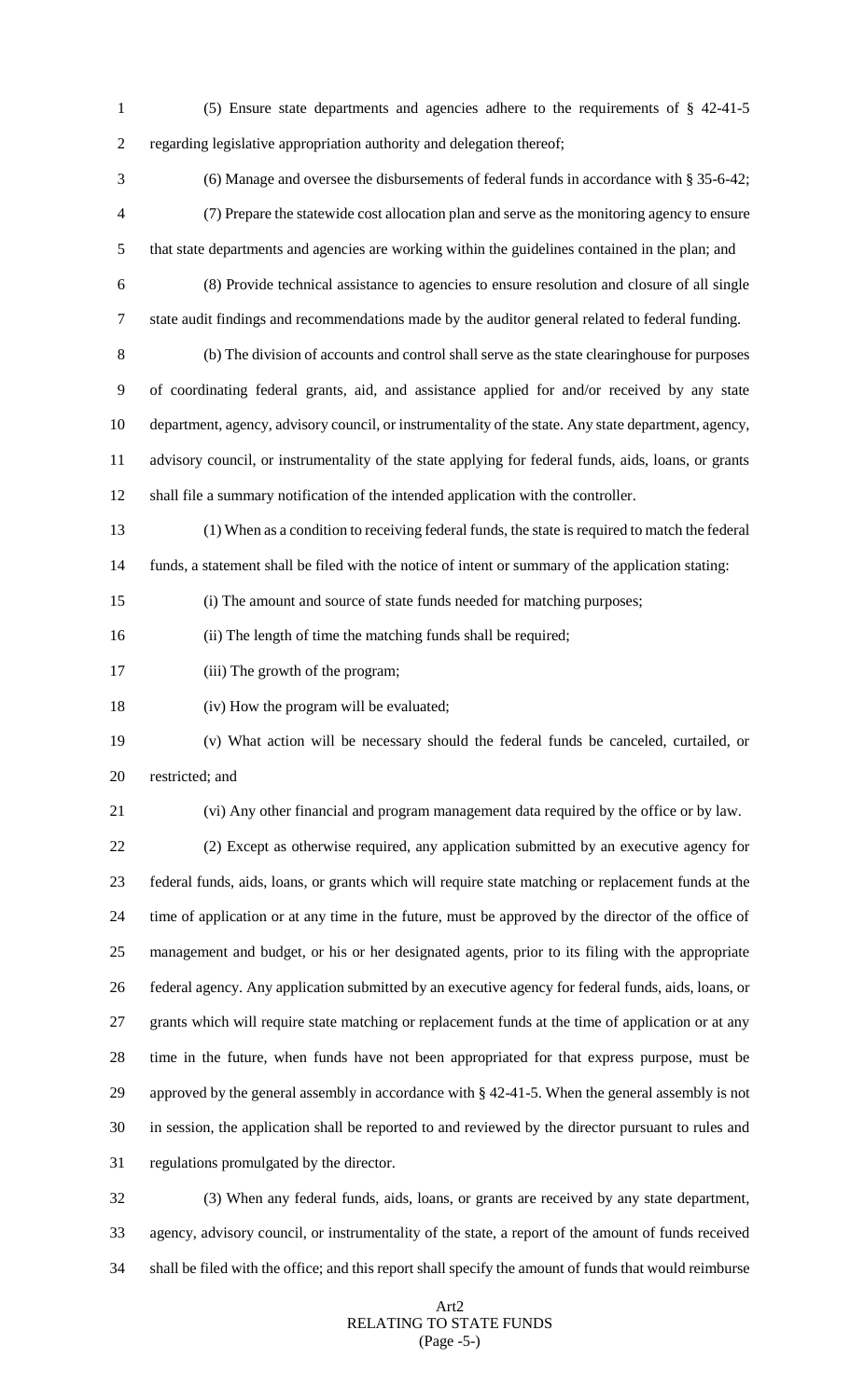(5) Ensure state departments and agencies adhere to the requirements of § 42-41-5 regarding legislative appropriation authority and delegation thereof;

 (6) Manage and oversee the disbursements of federal funds in accordance with § 35-6-42; (7) Prepare the statewide cost allocation plan and serve as the monitoring agency to ensure that state departments and agencies are working within the guidelines contained in the plan; and

 (8) Provide technical assistance to agencies to ensure resolution and closure of all single state audit findings and recommendations made by the auditor general related to federal funding.

 (b) The division of accounts and control shall serve as the state clearinghouse for purposes of coordinating federal grants, aid, and assistance applied for and/or received by any state department, agency, advisory council, or instrumentality of the state. Any state department, agency, advisory council, or instrumentality of the state applying for federal funds, aids, loans, or grants shall file a summary notification of the intended application with the controller.

(1) When as a condition to receiving federal funds, the state is required to match the federal

funds, a statement shall be filed with the notice of intent or summary of the application stating:

(i) The amount and source of state funds needed for matching purposes;

(ii) The length of time the matching funds shall be required;

17 (iii) The growth of the program;

(iv) How the program will be evaluated;

 (v) What action will be necessary should the federal funds be canceled, curtailed, or restricted; and

(vi) Any other financial and program management data required by the office or by law.

 (2) Except as otherwise required, any application submitted by an executive agency for federal funds, aids, loans, or grants which will require state matching or replacement funds at the time of application or at any time in the future, must be approved by the director of the office of management and budget, or his or her designated agents, prior to its filing with the appropriate federal agency. Any application submitted by an executive agency for federal funds, aids, loans, or grants which will require state matching or replacement funds at the time of application or at any time in the future, when funds have not been appropriated for that express purpose, must be approved by the general assembly in accordance with § 42-41-5. When the general assembly is not in session, the application shall be reported to and reviewed by the director pursuant to rules and regulations promulgated by the director.

 (3) When any federal funds, aids, loans, or grants are received by any state department, agency, advisory council, or instrumentality of the state, a report of the amount of funds received shall be filed with the office; and this report shall specify the amount of funds that would reimburse

### Art2 RELATING TO STATE FUNDS (Page -5-)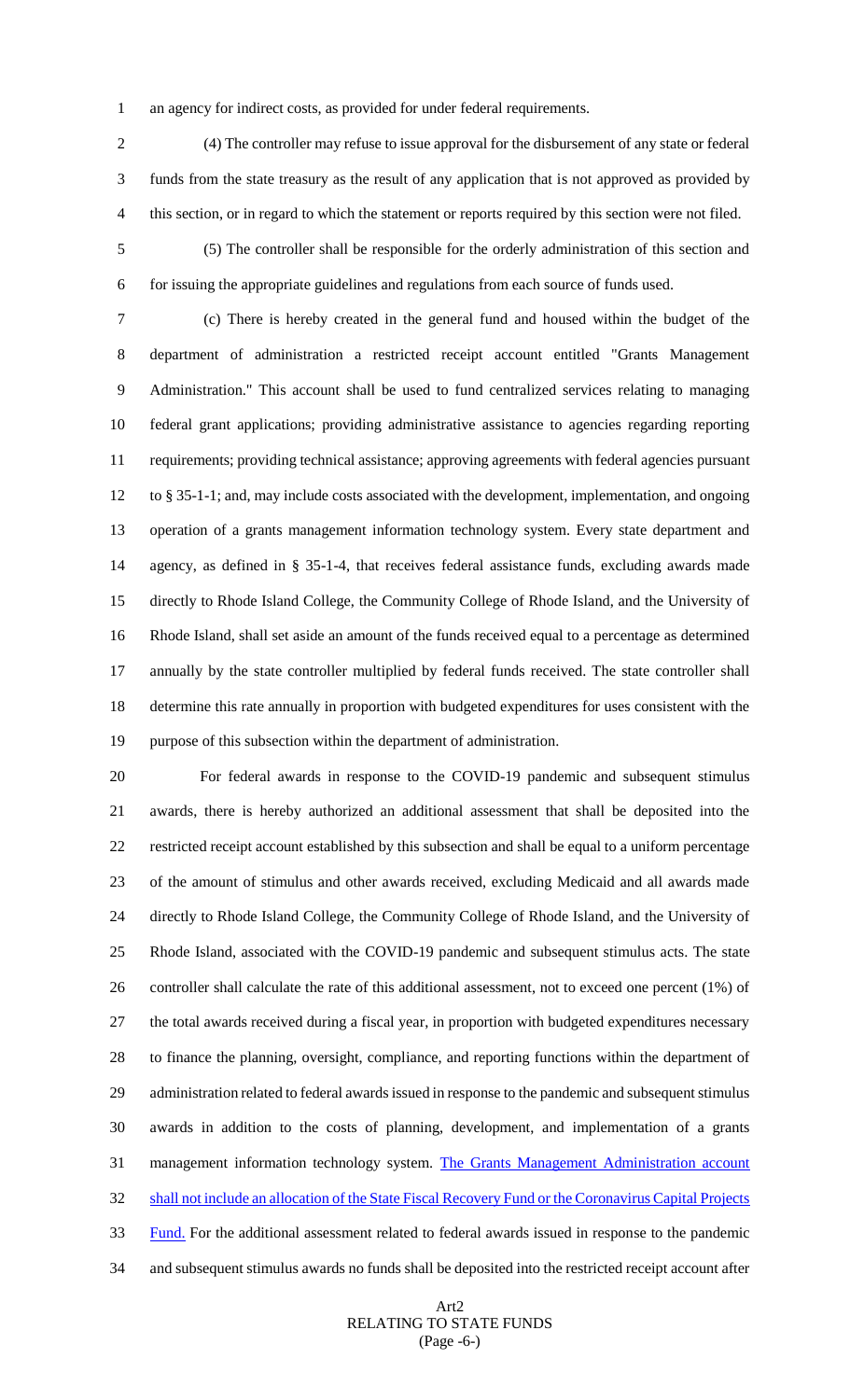an agency for indirect costs, as provided for under federal requirements.

 (4) The controller may refuse to issue approval for the disbursement of any state or federal funds from the state treasury as the result of any application that is not approved as provided by this section, or in regard to which the statement or reports required by this section were not filed.

 (5) The controller shall be responsible for the orderly administration of this section and for issuing the appropriate guidelines and regulations from each source of funds used.

 (c) There is hereby created in the general fund and housed within the budget of the department of administration a restricted receipt account entitled "Grants Management Administration." This account shall be used to fund centralized services relating to managing federal grant applications; providing administrative assistance to agencies regarding reporting requirements; providing technical assistance; approving agreements with federal agencies pursuant to § 35-1-1; and, may include costs associated with the development, implementation, and ongoing operation of a grants management information technology system. Every state department and agency, as defined in § 35-1-4, that receives federal assistance funds, excluding awards made directly to Rhode Island College, the Community College of Rhode Island, and the University of Rhode Island, shall set aside an amount of the funds received equal to a percentage as determined annually by the state controller multiplied by federal funds received. The state controller shall determine this rate annually in proportion with budgeted expenditures for uses consistent with the purpose of this subsection within the department of administration.

 For federal awards in response to the COVID-19 pandemic and subsequent stimulus awards, there is hereby authorized an additional assessment that shall be deposited into the restricted receipt account established by this subsection and shall be equal to a uniform percentage of the amount of stimulus and other awards received, excluding Medicaid and all awards made directly to Rhode Island College, the Community College of Rhode Island, and the University of Rhode Island, associated with the COVID-19 pandemic and subsequent stimulus acts. The state controller shall calculate the rate of this additional assessment, not to exceed one percent (1%) of the total awards received during a fiscal year, in proportion with budgeted expenditures necessary to finance the planning, oversight, compliance, and reporting functions within the department of administration related to federal awards issued in response to the pandemic and subsequent stimulus awards in addition to the costs of planning, development, and implementation of a grants 31 management information technology system. The Grants Management Administration account 32 shall not include an allocation of the State Fiscal Recovery Fund or the Coronavirus Capital Projects 33 Fund. For the additional assessment related to federal awards issued in response to the pandemic and subsequent stimulus awards no funds shall be deposited into the restricted receipt account after

### Art2 RELATING TO STATE FUNDS (Page -6-)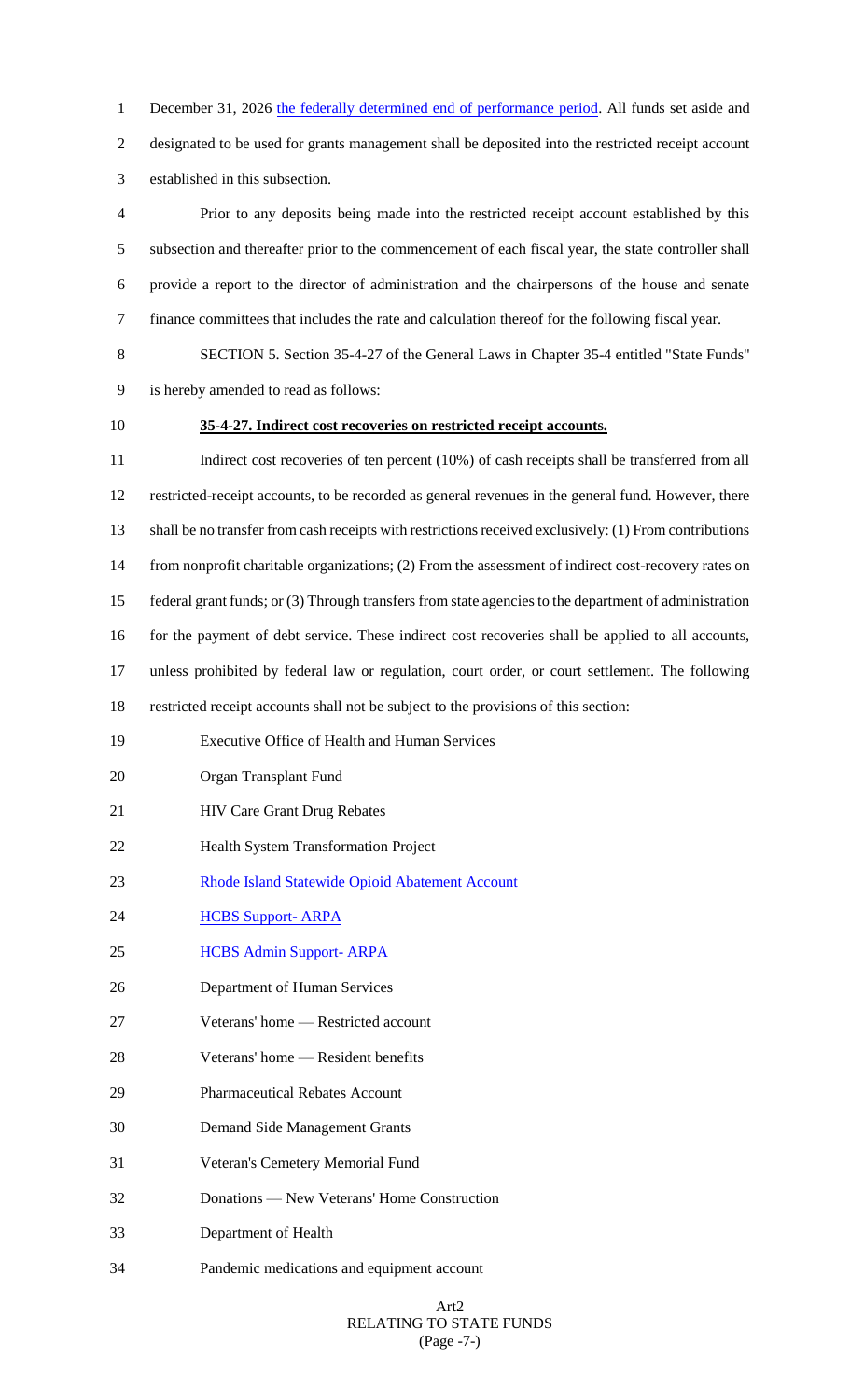1 December 31, 2026 the federally determined end of performance period. All funds set aside and designated to be used for grants management shall be deposited into the restricted receipt account established in this subsection.

 Prior to any deposits being made into the restricted receipt account established by this subsection and thereafter prior to the commencement of each fiscal year, the state controller shall provide a report to the director of administration and the chairpersons of the house and senate finance committees that includes the rate and calculation thereof for the following fiscal year.

 SECTION 5. Section 35-4-27 of the General Laws in Chapter 35-4 entitled "State Funds" is hereby amended to read as follows:

### **35-4-27. Indirect cost recoveries on restricted receipt accounts.**

11 Indirect cost recoveries of ten percent (10%) of cash receipts shall be transferred from all restricted-receipt accounts, to be recorded as general revenues in the general fund. However, there shall be no transfer from cash receipts with restrictions received exclusively: (1) From contributions from nonprofit charitable organizations; (2) From the assessment of indirect cost-recovery rates on federal grant funds; or (3) Through transfers from state agencies to the department of administration for the payment of debt service. These indirect cost recoveries shall be applied to all accounts, unless prohibited by federal law or regulation, court order, or court settlement. The following restricted receipt accounts shall not be subject to the provisions of this section: Executive Office of Health and Human Services Organ Transplant Fund **HIV Care Grant Drug Rebates** Health System Transformation Project

- Rhode Island Statewide Opioid Abatement Account
- **HCBS Support- ARPA**
- HCBS Admin Support- ARPA
- Department of Human Services
- Veterans' home Restricted account
- Veterans' home Resident benefits
- Pharmaceutical Rebates Account
- Demand Side Management Grants
- Veteran's Cemetery Memorial Fund
- Donations New Veterans' Home Construction
- Department of Health
- Pandemic medications and equipment account

### Art2 RELATING TO STATE FUNDS (Page -7-)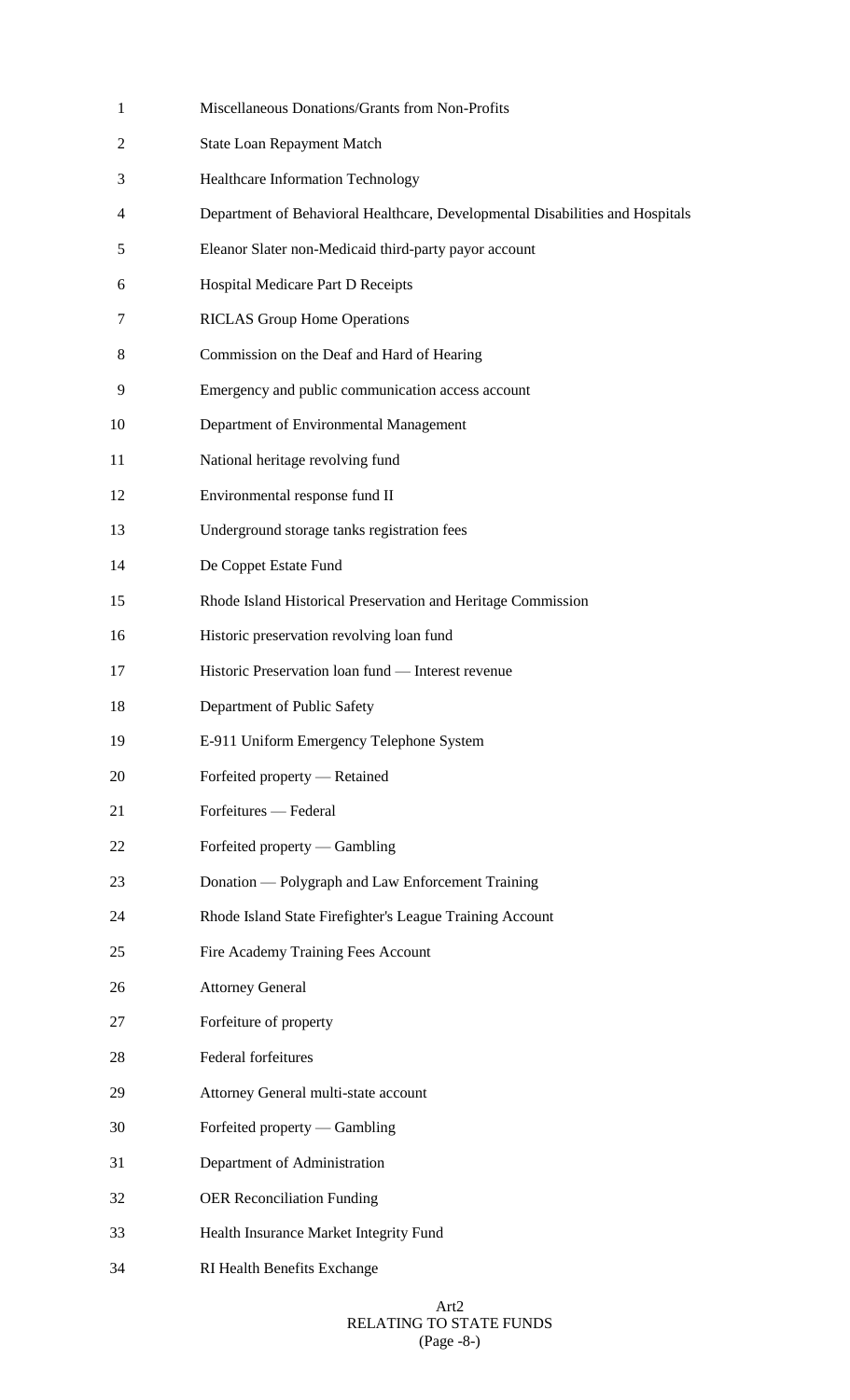| $\mathbf{1}$   | Miscellaneous Donations/Grants from Non-Profits                               |
|----------------|-------------------------------------------------------------------------------|
| $\overline{2}$ | <b>State Loan Repayment Match</b>                                             |
| 3              | <b>Healthcare Information Technology</b>                                      |
| 4              | Department of Behavioral Healthcare, Developmental Disabilities and Hospitals |
| 5              | Eleanor Slater non-Medicaid third-party payor account                         |
| 6              | Hospital Medicare Part D Receipts                                             |
| 7              | <b>RICLAS Group Home Operations</b>                                           |
| 8              | Commission on the Deaf and Hard of Hearing                                    |
| 9              | Emergency and public communication access account                             |
| 10             | Department of Environmental Management                                        |
| 11             | National heritage revolving fund                                              |
| 12             | Environmental response fund II                                                |
| 13             | Underground storage tanks registration fees                                   |
| 14             | De Coppet Estate Fund                                                         |
| 15             | Rhode Island Historical Preservation and Heritage Commission                  |
| 16             | Historic preservation revolving loan fund                                     |
| 17             | Historic Preservation loan fund - Interest revenue                            |
| 18             | Department of Public Safety                                                   |
| 19             | E-911 Uniform Emergency Telephone System                                      |
| 20             | Forfeited property — Retained                                                 |
| 21             | Forfeitures — Federal                                                         |
| 22             | Forfeited property — Gambling                                                 |
| 23             | Donation — Polygraph and Law Enforcement Training                             |
| 24             | Rhode Island State Firefighter's League Training Account                      |
| 25             | Fire Academy Training Fees Account                                            |
| 26             | <b>Attorney General</b>                                                       |
| 27             | Forfeiture of property                                                        |
| 28             | Federal forfeitures                                                           |
| 29             | Attorney General multi-state account                                          |
| 30             | Forfeited property — Gambling                                                 |
| 31             | Department of Administration                                                  |
| 32             | <b>OER Reconciliation Funding</b>                                             |
| 33             | Health Insurance Market Integrity Fund                                        |
| 34             | RI Health Benefits Exchange                                                   |

#### Art2 RELATING TO STATE FUNDS (Page -8-)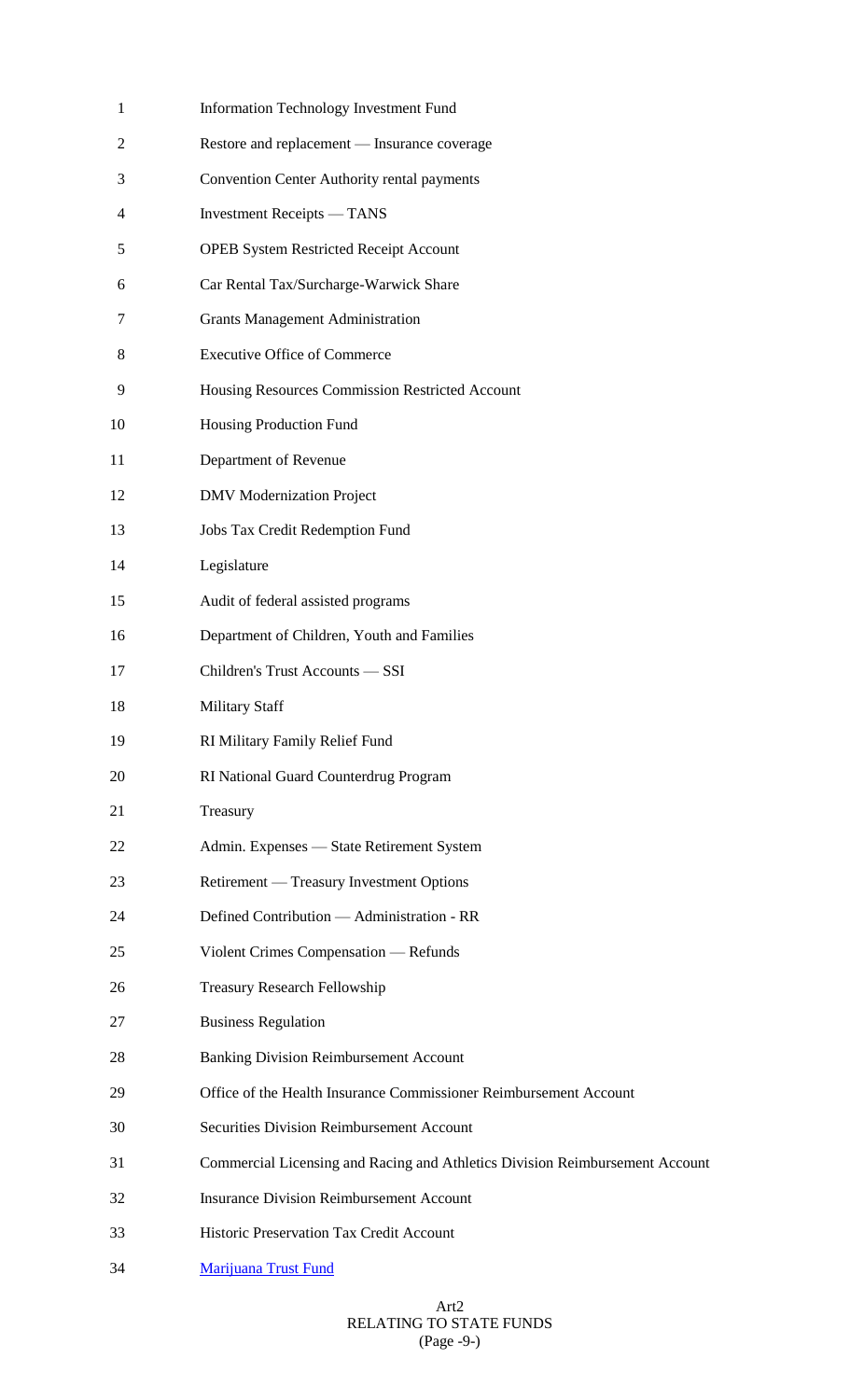| $\mathbf{1}$ | Information Technology Investment Fund                                       |
|--------------|------------------------------------------------------------------------------|
| 2            | Restore and replacement - Insurance coverage                                 |
| 3            | Convention Center Authority rental payments                                  |
| 4            | <b>Investment Receipts</b> — TANS                                            |
| 5            | <b>OPEB System Restricted Receipt Account</b>                                |
| 6            | Car Rental Tax/Surcharge-Warwick Share                                       |
| 7            | <b>Grants Management Administration</b>                                      |
| 8            | <b>Executive Office of Commerce</b>                                          |
| 9            | Housing Resources Commission Restricted Account                              |
| 10           | Housing Production Fund                                                      |
| 11           | Department of Revenue                                                        |
| 12           | <b>DMV</b> Modernization Project                                             |
| 13           | Jobs Tax Credit Redemption Fund                                              |
| 14           | Legislature                                                                  |
| 15           | Audit of federal assisted programs                                           |
| 16           | Department of Children, Youth and Families                                   |
| 17           | Children's Trust Accounts - SSI                                              |
| 18           | <b>Military Staff</b>                                                        |
| 19           | RI Military Family Relief Fund                                               |
| 20           | RI National Guard Counterdrug Program                                        |
| 21           | Treasury                                                                     |
| 22           | Admin. Expenses - State Retirement System                                    |
| 23           | Retirement — Treasury Investment Options                                     |
| 24           | Defined Contribution - Administration - RR                                   |
| 25           | Violent Crimes Compensation — Refunds                                        |
| 26           | <b>Treasury Research Fellowship</b>                                          |
| 27           | <b>Business Regulation</b>                                                   |
| 28           | <b>Banking Division Reimbursement Account</b>                                |
| 29           | Office of the Health Insurance Commissioner Reimbursement Account            |
| 30           | <b>Securities Division Reimbursement Account</b>                             |
| 31           | Commercial Licensing and Racing and Athletics Division Reimbursement Account |
| 32           | <b>Insurance Division Reimbursement Account</b>                              |
| 33           | Historic Preservation Tax Credit Account                                     |
| 34           | Marijuana Trust Fund                                                         |

### Art2 RELATING TO STATE FUNDS (Page -9-)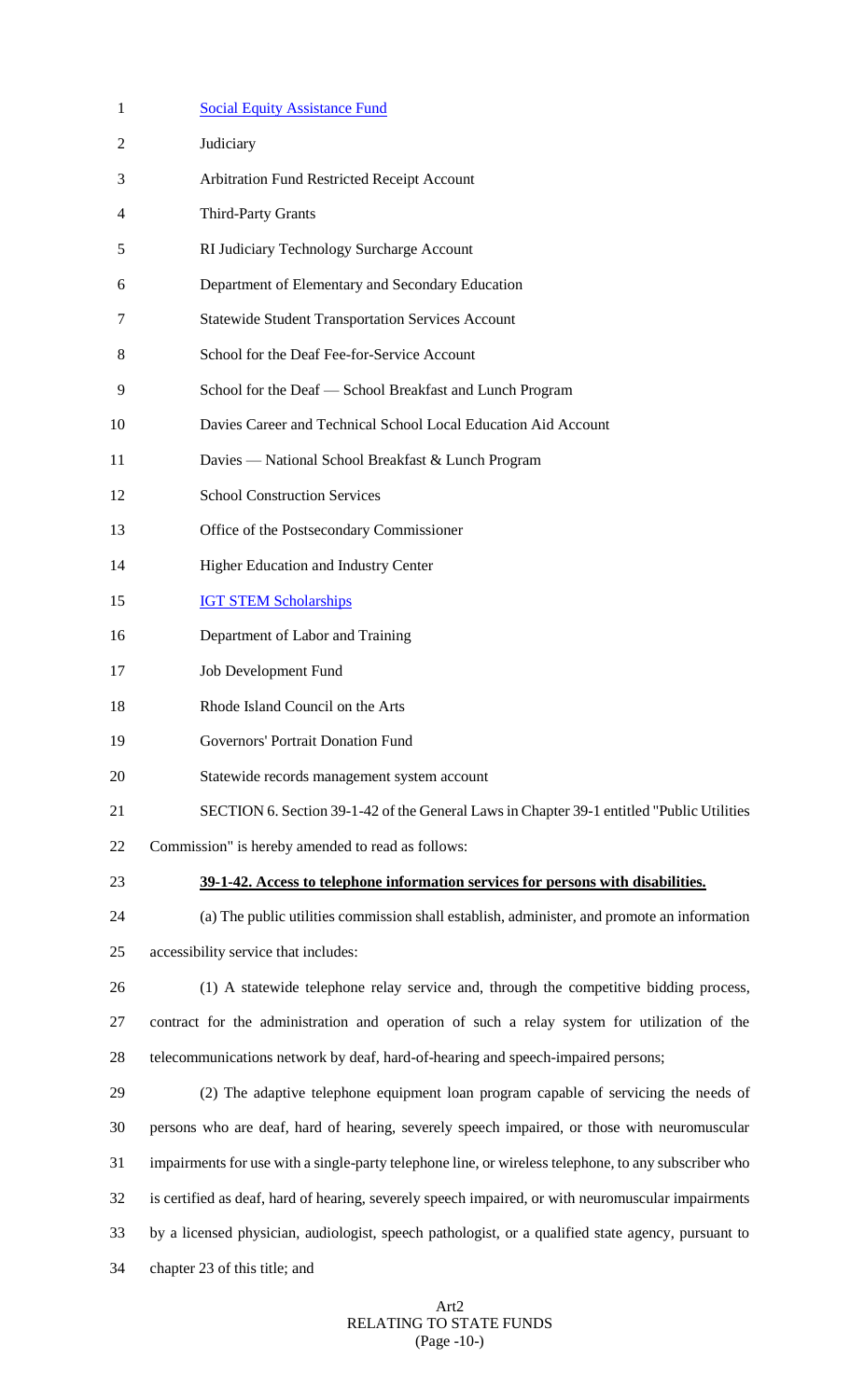| $\mathbf{1}$ | <b>Social Equity Assistance Fund</b>                                                                 |
|--------------|------------------------------------------------------------------------------------------------------|
| 2            | Judiciary                                                                                            |
| 3            | Arbitration Fund Restricted Receipt Account                                                          |
| 4            | <b>Third-Party Grants</b>                                                                            |
| 5            | RI Judiciary Technology Surcharge Account                                                            |
| 6            | Department of Elementary and Secondary Education                                                     |
| 7            | <b>Statewide Student Transportation Services Account</b>                                             |
| 8            | School for the Deaf Fee-for-Service Account                                                          |
| 9            | School for the Deaf - School Breakfast and Lunch Program                                             |
| 10           | Davies Career and Technical School Local Education Aid Account                                       |
| 11           | Davies — National School Breakfast & Lunch Program                                                   |
| 12           | <b>School Construction Services</b>                                                                  |
| 13           | Office of the Postsecondary Commissioner                                                             |
| 14           | Higher Education and Industry Center                                                                 |
| 15           | <b>IGT STEM Scholarships</b>                                                                         |
| 16           | Department of Labor and Training                                                                     |
| 17           | Job Development Fund                                                                                 |
| 18           | Rhode Island Council on the Arts                                                                     |
| 19           | Governors' Portrait Donation Fund                                                                    |
| 20           | Statewide records management system account                                                          |
| 21           | SECTION 6. Section 39-1-42 of the General Laws in Chapter 39-1 entitled "Public Utilities"           |
| 22           | Commission" is hereby amended to read as follows:                                                    |
| 23           | 39-1-42. Access to telephone information services for persons with disabilities.                     |
| 24           | (a) The public utilities commission shall establish, administer, and promote an information          |
| 25           | accessibility service that includes:                                                                 |
| 26           | (1) A statewide telephone relay service and, through the competitive bidding process,                |
| 27           | contract for the administration and operation of such a relay system for utilization of the          |
| 28           | telecommunications network by deaf, hard-of-hearing and speech-impaired persons;                     |
| 29           | (2) The adaptive telephone equipment loan program capable of servicing the needs of                  |
| 30           | persons who are deaf, hard of hearing, severely speech impaired, or those with neuromuscular         |
| 31           | impairments for use with a single-party telephone line, or wireless telephone, to any subscriber who |
| 32           | is certified as deaf, hard of hearing, severely speech impaired, or with neuromuscular impairments   |
| 33           | by a licensed physician, audiologist, speech pathologist, or a qualified state agency, pursuant to   |
| 34           | chapter 23 of this title; and                                                                        |
|              |                                                                                                      |

#### Art2 RELATING TO STATE FUNDS (Page -10-)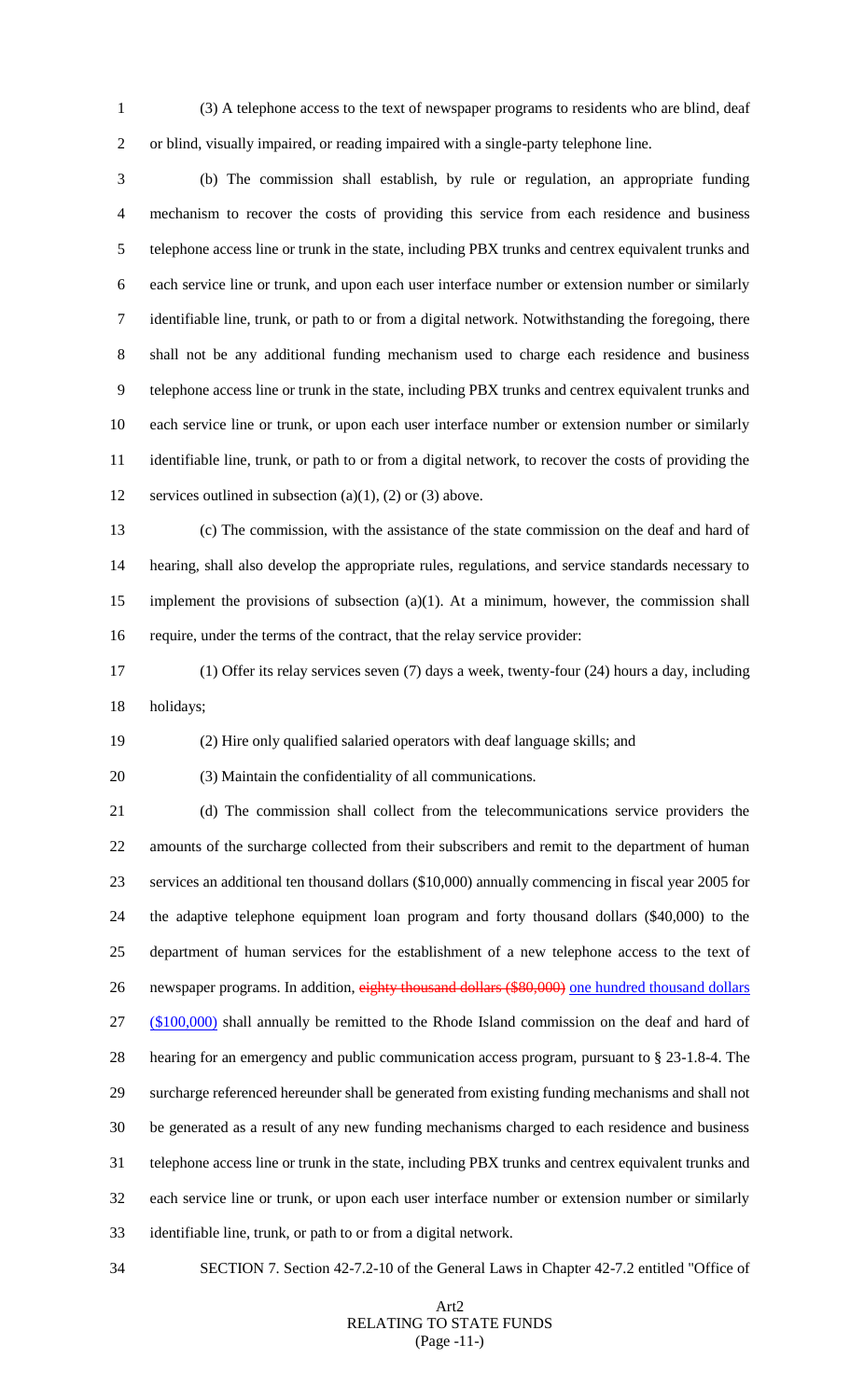(3) A telephone access to the text of newspaper programs to residents who are blind, deaf or blind, visually impaired, or reading impaired with a single-party telephone line.

 (b) The commission shall establish, by rule or regulation, an appropriate funding mechanism to recover the costs of providing this service from each residence and business telephone access line or trunk in the state, including PBX trunks and centrex equivalent trunks and each service line or trunk, and upon each user interface number or extension number or similarly identifiable line, trunk, or path to or from a digital network. Notwithstanding the foregoing, there shall not be any additional funding mechanism used to charge each residence and business telephone access line or trunk in the state, including PBX trunks and centrex equivalent trunks and each service line or trunk, or upon each user interface number or extension number or similarly identifiable line, trunk, or path to or from a digital network, to recover the costs of providing the 12 services outlined in subsection (a)(1), (2) or (3) above.

 (c) The commission, with the assistance of the state commission on the deaf and hard of hearing, shall also develop the appropriate rules, regulations, and service standards necessary to implement the provisions of subsection (a)(1). At a minimum, however, the commission shall require, under the terms of the contract, that the relay service provider:

 (1) Offer its relay services seven (7) days a week, twenty-four (24) hours a day, including holidays;

(2) Hire only qualified salaried operators with deaf language skills; and

(3) Maintain the confidentiality of all communications.

 (d) The commission shall collect from the telecommunications service providers the amounts of the surcharge collected from their subscribers and remit to the department of human services an additional ten thousand dollars (\$10,000) annually commencing in fiscal year 2005 for the adaptive telephone equipment loan program and forty thousand dollars (\$40,000) to the department of human services for the establishment of a new telephone access to the text of 26 newspaper programs. In addition, eighty thousand dollars (\$80,000) one hundred thousand dollars (\$100,000) shall annually be remitted to the Rhode Island commission on the deaf and hard of hearing for an emergency and public communication access program, pursuant to § 23-1.8-4. The surcharge referenced hereunder shall be generated from existing funding mechanisms and shall not be generated as a result of any new funding mechanisms charged to each residence and business telephone access line or trunk in the state, including PBX trunks and centrex equivalent trunks and each service line or trunk, or upon each user interface number or extension number or similarly identifiable line, trunk, or path to or from a digital network.

SECTION 7. Section 42-7.2-10 of the General Laws in Chapter 42-7.2 entitled "Office of

### Art2 RELATING TO STATE FUNDS (Page -11-)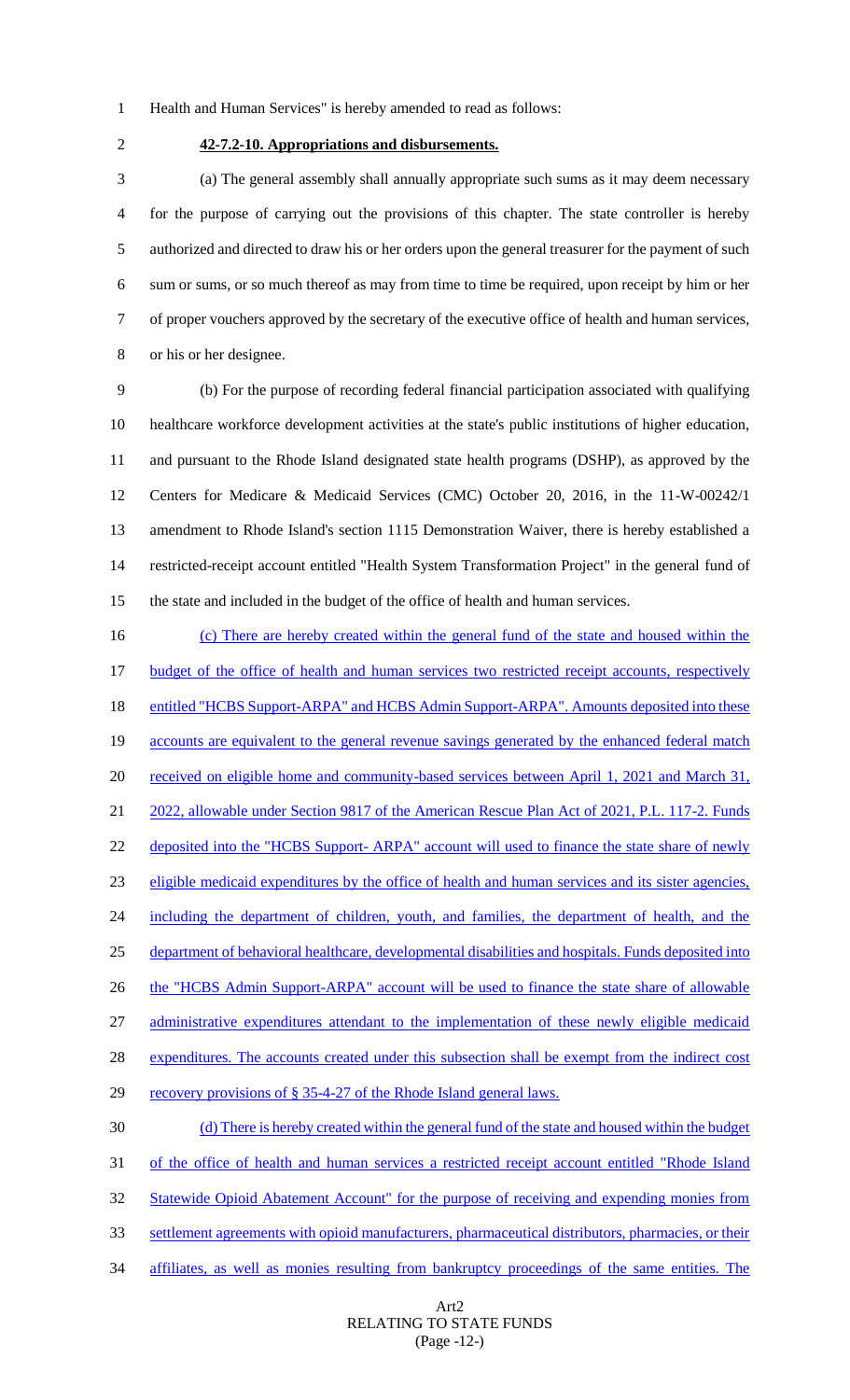- Health and Human Services" is hereby amended to read as follows:
- 

# **42-7.2-10. Appropriations and disbursements.**

 (a) The general assembly shall annually appropriate such sums as it may deem necessary for the purpose of carrying out the provisions of this chapter. The state controller is hereby authorized and directed to draw his or her orders upon the general treasurer for the payment of such sum or sums, or so much thereof as may from time to time be required, upon receipt by him or her of proper vouchers approved by the secretary of the executive office of health and human services, or his or her designee.

 (b) For the purpose of recording federal financial participation associated with qualifying healthcare workforce development activities at the state's public institutions of higher education, and pursuant to the Rhode Island designated state health programs (DSHP), as approved by the Centers for Medicare & Medicaid Services (CMC) October 20, 2016, in the 11-W-00242/1 amendment to Rhode Island's section 1115 Demonstration Waiver, there is hereby established a restricted-receipt account entitled "Health System Transformation Project" in the general fund of the state and included in the budget of the office of health and human services.

 (c) There are hereby created within the general fund of the state and housed within the 17 budget of the office of health and human services two restricted receipt accounts, respectively 18 entitled "HCBS Support-ARPA" and HCBS Admin Support-ARPA". Amounts deposited into these 19 accounts are equivalent to the general revenue savings generated by the enhanced federal match 20 received on eligible home and community-based services between April 1, 2021 and March 31, 2022, allowable under Section 9817 of the American Rescue Plan Act of 2021, P.L. 117-2. Funds 22 deposited into the "HCBS Support- ARPA" account will used to finance the state share of newly eligible medicaid expenditures by the office of health and human services and its sister agencies, 24 including the department of children, youth, and families, the department of health, and the department of behavioral healthcare, developmental disabilities and hospitals. Funds deposited into 26 the "HCBS Admin Support-ARPA" account will be used to finance the state share of allowable administrative expenditures attendant to the implementation of these newly eligible medicaid 28 expenditures. The accounts created under this subsection shall be exempt from the indirect cost 29 recovery provisions of § 35-4-27 of the Rhode Island general laws. (d) There is hereby created within the general fund of the state and housed within the budget of the office of health and human services a restricted receipt account entitled "Rhode Island 32 Statewide Opioid Abatement Account" for the purpose of receiving and expending monies from settlement agreements with opioid manufacturers, pharmaceutical distributors, pharmacies, or their

affiliates, as well as monies resulting from bankruptcy proceedings of the same entities. The

### Art2 RELATING TO STATE FUNDS (Page -12-)